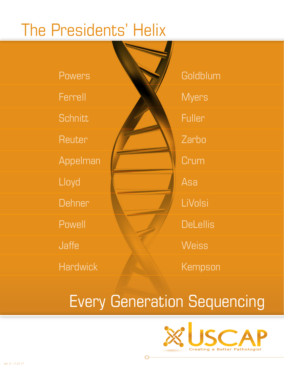# The Presidents' Helix

Powers Ferrell **Schnitt Reuter** Appelman Lloyd **Dehner** Powell Jaffe **Hardwick** 

**Goldblum Myers Fuller** Zarbo **Crum** Asa LiVolsi **DeLellis Weiss** Kempson

## Every Generation Sequencing